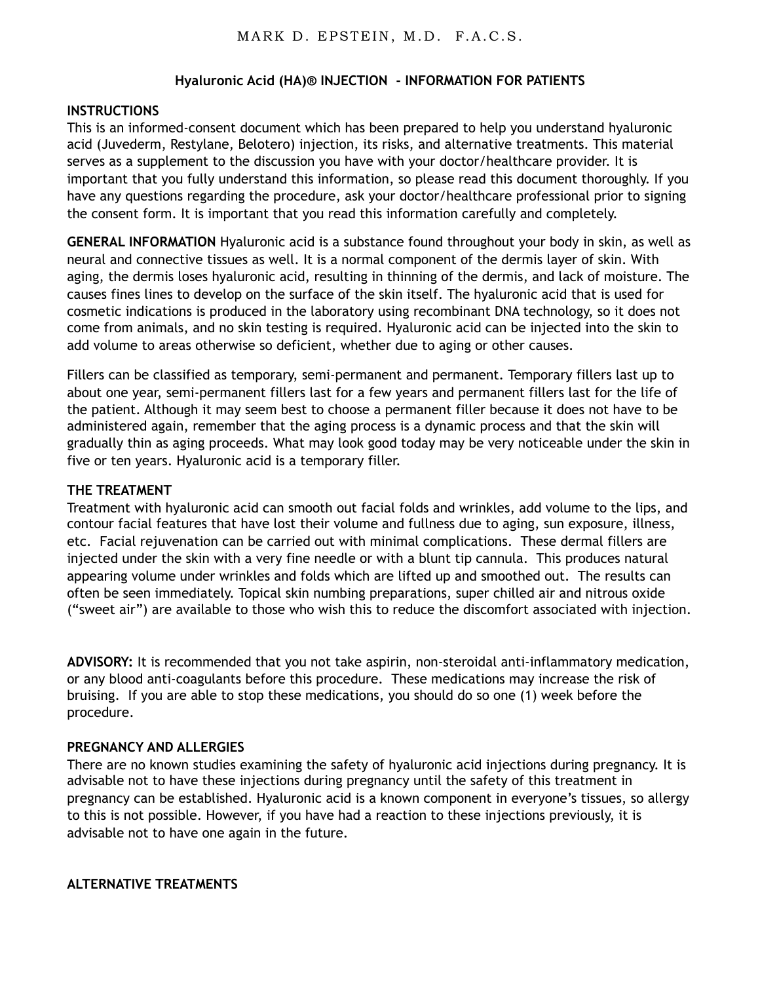### **Hyaluronic Acid (HA)® INJECTION - INFORMATION FOR PATIENTS**

#### **INSTRUCTIONS**

This is an informed-consent document which has been prepared to help you understand hyaluronic acid (Juvederm, Restylane, Belotero) injection, its risks, and alternative treatments. This material serves as a supplement to the discussion you have with your doctor/healthcare provider. It is important that you fully understand this information, so please read this document thoroughly. If you have any questions regarding the procedure, ask your doctor/healthcare professional prior to signing the consent form. It is important that you read this information carefully and completely.

**GENERAL INFORMATION** Hyaluronic acid is a substance found throughout your body in skin, as well as neural and connective tissues as well. It is a normal component of the dermis layer of skin. With aging, the dermis loses hyaluronic acid, resulting in thinning of the dermis, and lack of moisture. The causes fines lines to develop on the surface of the skin itself. The hyaluronic acid that is used for cosmetic indications is produced in the laboratory using recombinant DNA technology, so it does not come from animals, and no skin testing is required. Hyaluronic acid can be injected into the skin to add volume to areas otherwise so deficient, whether due to aging or other causes.

Fillers can be classified as temporary, semi-permanent and permanent. Temporary fillers last up to about one year, semi-permanent fillers last for a few years and permanent fillers last for the life of the patient. Although it may seem best to choose a permanent filler because it does not have to be administered again, remember that the aging process is a dynamic process and that the skin will gradually thin as aging proceeds. What may look good today may be very noticeable under the skin in five or ten years. Hyaluronic acid is a temporary filler.

#### **THE TREATMENT**

Treatment with hyaluronic acid can smooth out facial folds and wrinkles, add volume to the lips, and contour facial features that have lost their volume and fullness due to aging, sun exposure, illness, etc. Facial rejuvenation can be carried out with minimal complications. These dermal fillers are injected under the skin with a very fine needle or with a blunt tip cannula. This produces natural appearing volume under wrinkles and folds which are lifted up and smoothed out. The results can often be seen immediately. Topical skin numbing preparations, super chilled air and nitrous oxide ("sweet air") are available to those who wish this to reduce the discomfort associated with injection.

**ADVISORY:** It is recommended that you not take aspirin, non-steroidal anti-inflammatory medication, or any blood anti-coagulants before this procedure. These medications may increase the risk of bruising. If you are able to stop these medications, you should do so one (1) week before the procedure.

#### **PREGNANCY AND ALLERGIES**

There are no known studies examining the safety of hyaluronic acid injections during pregnancy. It is advisable not to have these injections during pregnancy until the safety of this treatment in pregnancy can be established. Hyaluronic acid is a known component in everyone's tissues, so allergy to this is not possible. However, if you have had a reaction to these injections previously, it is advisable not to have one again in the future.

#### **ALTERNATIVE TREATMENTS**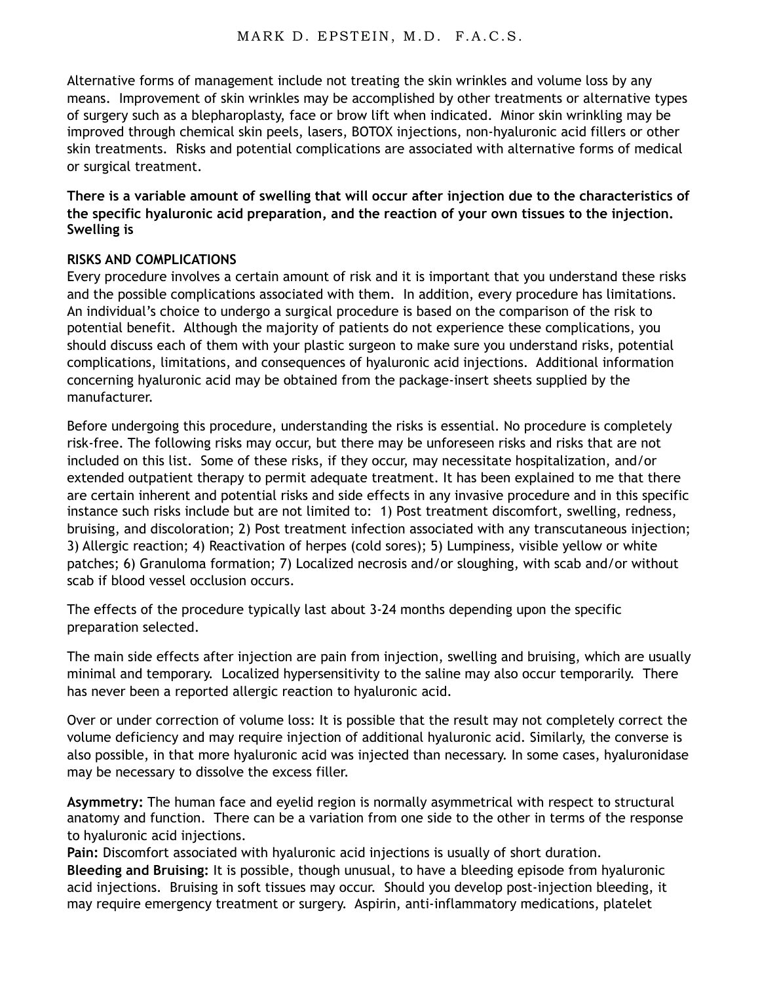Alternative forms of management include not treating the skin wrinkles and volume loss by any means. Improvement of skin wrinkles may be accomplished by other treatments or alternative types of surgery such as a blepharoplasty, face or brow lift when indicated. Minor skin wrinkling may be improved through chemical skin peels, lasers, BOTOX injections, non-hyaluronic acid fillers or other skin treatments. Risks and potential complications are associated with alternative forms of medical or surgical treatment.

**There is a variable amount of swelling that will occur after injection due to the characteristics of the specific hyaluronic acid preparation, and the reaction of your own tissues to the injection. Swelling is** 

## **RISKS AND COMPLICATIONS**

Every procedure involves a certain amount of risk and it is important that you understand these risks and the possible complications associated with them. In addition, every procedure has limitations. An individual's choice to undergo a surgical procedure is based on the comparison of the risk to potential benefit. Although the majority of patients do not experience these complications, you should discuss each of them with your plastic surgeon to make sure you understand risks, potential complications, limitations, and consequences of hyaluronic acid injections. Additional information concerning hyaluronic acid may be obtained from the package-insert sheets supplied by the manufacturer.

Before undergoing this procedure, understanding the risks is essential. No procedure is completely risk-free. The following risks may occur, but there may be unforeseen risks and risks that are not included on this list. Some of these risks, if they occur, may necessitate hospitalization, and/or extended outpatient therapy to permit adequate treatment. It has been explained to me that there are certain inherent and potential risks and side effects in any invasive procedure and in this specific instance such risks include but are not limited to: 1) Post treatment discomfort, swelling, redness, bruising, and discoloration; 2) Post treatment infection associated with any transcutaneous injection; 3) Allergic reaction; 4) Reactivation of herpes (cold sores); 5) Lumpiness, visible yellow or white patches; 6) Granuloma formation; 7) Localized necrosis and/or sloughing, with scab and/or without scab if blood vessel occlusion occurs.

The effects of the procedure typically last about 3-24 months depending upon the specific preparation selected.

The main side effects after injection are pain from injection, swelling and bruising, which are usually minimal and temporary. Localized hypersensitivity to the saline may also occur temporarily. There has never been a reported allergic reaction to hyaluronic acid.

Over or under correction of volume loss: It is possible that the result may not completely correct the volume deficiency and may require injection of additional hyaluronic acid. Similarly, the converse is also possible, in that more hyaluronic acid was injected than necessary. In some cases, hyaluronidase may be necessary to dissolve the excess filler.

**Asymmetry:** The human face and eyelid region is normally asymmetrical with respect to structural anatomy and function. There can be a variation from one side to the other in terms of the response to hyaluronic acid injections.

**Pain:** Discomfort associated with hyaluronic acid injections is usually of short duration.

**Bleeding and Bruising:** It is possible, though unusual, to have a bleeding episode from hyaluronic acid injections. Bruising in soft tissues may occur. Should you develop post-injection bleeding, it may require emergency treatment or surgery. Aspirin, anti-inflammatory medications, platelet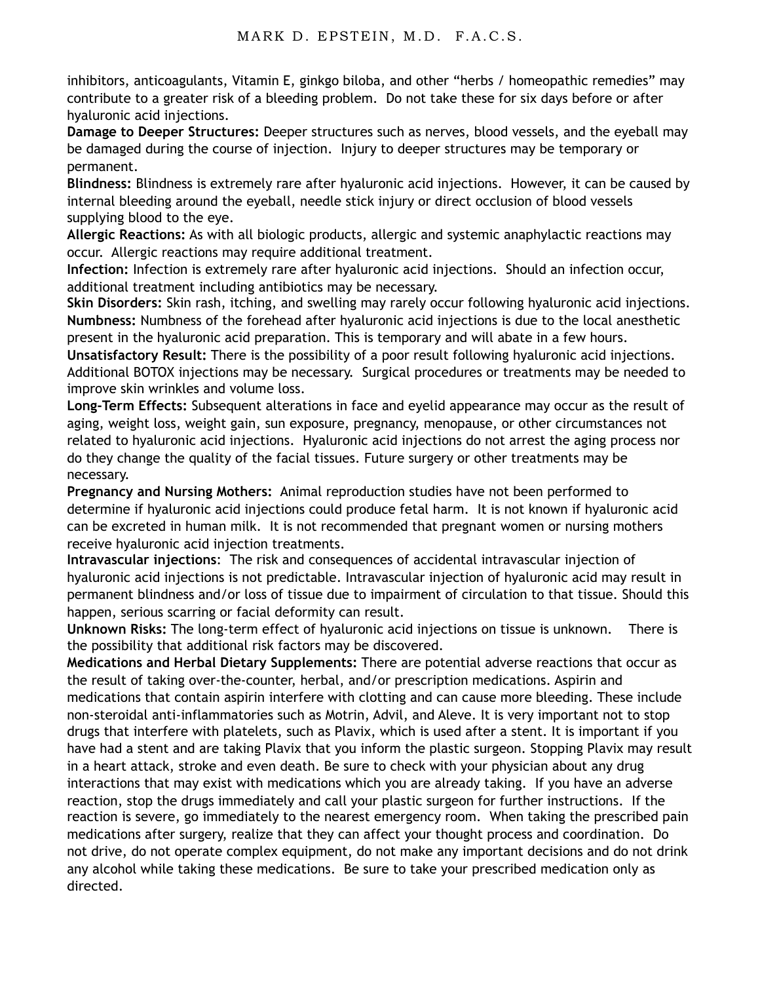inhibitors, anticoagulants, Vitamin E, ginkgo biloba, and other "herbs / homeopathic remedies" may contribute to a greater risk of a bleeding problem. Do not take these for six days before or after hyaluronic acid injections.

**Damage to Deeper Structures:** Deeper structures such as nerves, blood vessels, and the eyeball may be damaged during the course of injection. Injury to deeper structures may be temporary or permanent.

**Blindness:** Blindness is extremely rare after hyaluronic acid injections. However, it can be caused by internal bleeding around the eyeball, needle stick injury or direct occlusion of blood vessels supplying blood to the eye.

**Allergic Reactions:** As with all biologic products, allergic and systemic anaphylactic reactions may occur. Allergic reactions may require additional treatment.

**Infection:** Infection is extremely rare after hyaluronic acid injections. Should an infection occur, additional treatment including antibiotics may be necessary.

**Skin Disorders:** Skin rash, itching, and swelling may rarely occur following hyaluronic acid injections. **Numbness:** Numbness of the forehead after hyaluronic acid injections is due to the local anesthetic present in the hyaluronic acid preparation. This is temporary and will abate in a few hours.

**Unsatisfactory Result:** There is the possibility of a poor result following hyaluronic acid injections. Additional BOTOX injections may be necessary. Surgical procedures or treatments may be needed to improve skin wrinkles and volume loss.

**Long-Term Effects:** Subsequent alterations in face and eyelid appearance may occur as the result of aging, weight loss, weight gain, sun exposure, pregnancy, menopause, or other circumstances not related to hyaluronic acid injections. Hyaluronic acid injections do not arrest the aging process nor do they change the quality of the facial tissues. Future surgery or other treatments may be necessary.

**Pregnancy and Nursing Mothers:** Animal reproduction studies have not been performed to determine if hyaluronic acid injections could produce fetal harm. It is not known if hyaluronic acid can be excreted in human milk. It is not recommended that pregnant women or nursing mothers receive hyaluronic acid injection treatments.

**Intravascular injections**: The risk and consequences of accidental intravascular injection of hyaluronic acid injections is not predictable. Intravascular injection of hyaluronic acid may result in permanent blindness and/or loss of tissue due to impairment of circulation to that tissue. Should this happen, serious scarring or facial deformity can result.

**Unknown Risks:** The long-term effect of hyaluronic acid injections on tissue is unknown. There is the possibility that additional risk factors may be discovered.

**Medications and Herbal Dietary Supplements:** There are potential adverse reactions that occur as the result of taking over-the-counter, herbal, and/or prescription medications. Aspirin and medications that contain aspirin interfere with clotting and can cause more bleeding. These include non-steroidal anti-inflammatories such as Motrin, Advil, and Aleve. It is very important not to stop drugs that interfere with platelets, such as Plavix, which is used after a stent. It is important if you have had a stent and are taking Plavix that you inform the plastic surgeon. Stopping Plavix may result in a heart attack, stroke and even death. Be sure to check with your physician about any drug interactions that may exist with medications which you are already taking. If you have an adverse reaction, stop the drugs immediately and call your plastic surgeon for further instructions. If the reaction is severe, go immediately to the nearest emergency room. When taking the prescribed pain medications after surgery, realize that they can affect your thought process and coordination. Do not drive, do not operate complex equipment, do not make any important decisions and do not drink any alcohol while taking these medications. Be sure to take your prescribed medication only as directed.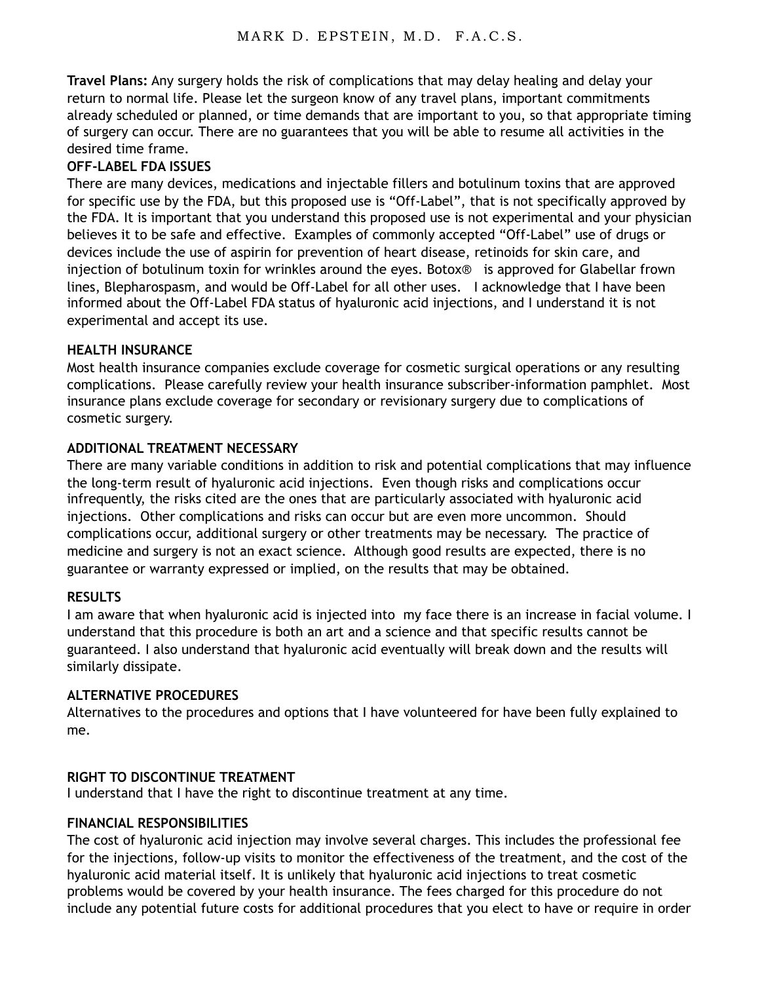**Travel Plans:** Any surgery holds the risk of complications that may delay healing and delay your return to normal life. Please let the surgeon know of any travel plans, important commitments already scheduled or planned, or time demands that are important to you, so that appropriate timing of surgery can occur. There are no guarantees that you will be able to resume all activities in the desired time frame.

# **OFF-LABEL FDA ISSUES**

There are many devices, medications and injectable fillers and botulinum toxins that are approved for specific use by the FDA, but this proposed use is "Off-Label", that is not specifically approved by the FDA. It is important that you understand this proposed use is not experimental and your physician believes it to be safe and effective. Examples of commonly accepted "Off-Label" use of drugs or devices include the use of aspirin for prevention of heart disease, retinoids for skin care, and injection of botulinum toxin for wrinkles around the eyes. Botox<sup>®</sup> is approved for Glabellar frown lines, Blepharospasm, and would be Off-Label for all other uses. I acknowledge that I have been informed about the Off-Label FDA status of hyaluronic acid injections, and I understand it is not experimental and accept its use.

## **HEALTH INSURANCE**

Most health insurance companies exclude coverage for cosmetic surgical operations or any resulting complications. Please carefully review your health insurance subscriber-information pamphlet. Most insurance plans exclude coverage for secondary or revisionary surgery due to complications of cosmetic surgery.

## **ADDITIONAL TREATMENT NECESSARY**

There are many variable conditions in addition to risk and potential complications that may influence the long-term result of hyaluronic acid injections. Even though risks and complications occur infrequently, the risks cited are the ones that are particularly associated with hyaluronic acid injections. Other complications and risks can occur but are even more uncommon. Should complications occur, additional surgery or other treatments may be necessary. The practice of medicine and surgery is not an exact science. Although good results are expected, there is no guarantee or warranty expressed or implied, on the results that may be obtained.

## **RESULTS**

I am aware that when hyaluronic acid is injected into my face there is an increase in facial volume. I understand that this procedure is both an art and a science and that specific results cannot be guaranteed. I also understand that hyaluronic acid eventually will break down and the results will similarly dissipate.

## **ALTERNATIVE PROCEDURES**

Alternatives to the procedures and options that I have volunteered for have been fully explained to me.

# **RIGHT TO DISCONTINUE TREATMENT**

I understand that I have the right to discontinue treatment at any time.

## **FINANCIAL RESPONSIBILITIES**

The cost of hyaluronic acid injection may involve several charges. This includes the professional fee for the injections, follow-up visits to monitor the effectiveness of the treatment, and the cost of the hyaluronic acid material itself. It is unlikely that hyaluronic acid injections to treat cosmetic problems would be covered by your health insurance. The fees charged for this procedure do not include any potential future costs for additional procedures that you elect to have or require in order